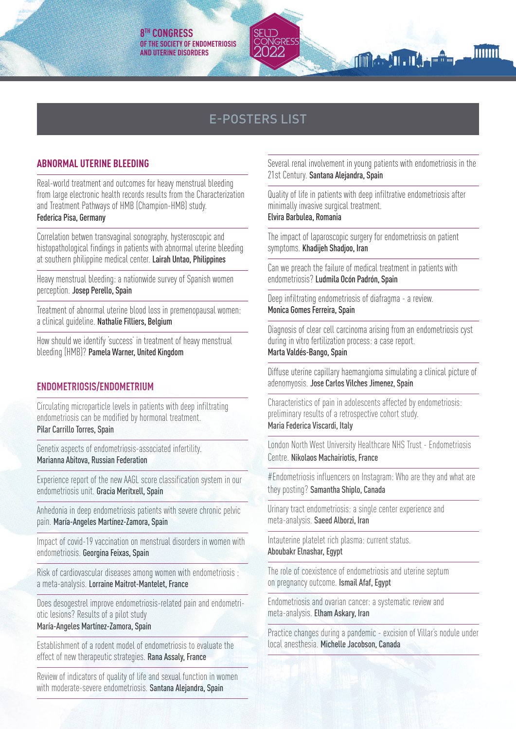# E-POSTERS LIST

#### **ABNORMAL UTERINE BLEEDING**

Real-world treatment and outcomes for heavy menstrual bleeding from large electronic health records results from the Characterization and Treatment Pathways of HMB (Champion-HMB) study. Federica Pisa, Germany

Correlation betwen transvaginal sonography, hysteroscopic and histopathological findings in patients with abnormal uterine bleeding at southern philippine medical center. Lairah Untao, Philippines

Heavy menstrual bleeding: a nationwide survey of Spanish women perception. Josep Perello, Spain

Treatment of abnormal uterine blood loss in premenopausal women: a clinical guideline. Nathalie Filliers, Belgium

How should we identify 'success' in treatment of heavy menstrual bleeding (HMB)? Pamela Warner, United Kingdom

## **ENDOMETRIOSIS/ENDOMETRIUM**

Circulating microparticle levels in patients with deep infiltrating endometriosis can be modified by hormonal treatment. Pilar Carrillo Torres, Spain

Genetix aspects of endometriosis-associated infertility. Marianna Abitova, Russian Federation

Experience report of the new AAGL score classification system in our endometriosis unit. Gracia Meritxell, Spain

Anhedonia in deep endometriosis patients with severe chronic pelvic pain. María-Angeles Martínez-Zamora, Spain

Impact of covid-19 vaccination on menstrual disorders in women with endometriosis. Georgina Feixas, Spain

Risk of cardiovascular diseases among women with endometriosis : a meta-analysis. Lorraine Maitrot-Mantelet, France

Does desogestrel improve endometriosis-related pain and endometriotic lesions? Results of a pilot study María-Angeles Martínez-Zamora, Spain

Establishment of a rodent model of endometriosis to evaluate the effect of new therapeutic strategies. Rana Assaly, France

Review of indicators of quality of life and sexual function in women with moderate-severe endometriosis. Santana Alejandra, Spain

Several renal involvement in young patients with endometriosis in the 21st Century. Santana Alejandra, Spain

**The ATT TA . They** 

**hum** 

Quality of life in patients with deep infiltrative endometriosis after minimally invasive surgical treatment.

Elvira Barbulea, Romania

The impact of laparoscopic surgery for endometriosis on patient symptoms. Khadijeh Shadjoo, Iran

Can we preach the failure of medical treatment in patients with endometriosis? Ludmila Ocón Padrón, Spain

Deep infiltrating endometriosis of diafragma - a review. Monica Gomes Ferreira, Spain

Diagnosis of clear cell carcinoma arising from an endometriosis cyst during in vitro fertilization process: a case report. Marta Valdés-Bango, Spain

Diffuse uterine capillary haemangioma simulating a clinical picture of adenomyosis. Jose Carlos Vilches Jimenez, Spain

Characteristics of pain in adolescents affected by endometriosis: preliminary results of a retrospective cohort study. Maria Federica Viscardi, Italy

London North West University Healthcare NHS Trust - Endometriosis Centre. Nikolaos Machairiotis, France

#Endometriosis influencers on Instagram: Who are they and what are they posting? Samantha Shiplo, Canada

Urinary tract endometriosis: a single center experience and meta-analysis. Saeed Alborzi, Iran

Intauterine platelet rich plasma: current status. Aboubakr Elnashar, Egypt

The role of coexistence of endometriosis and uterine septum on pregnancy outcome. Ismail Afaf, Egypt

Endometriosis and ovarian cancer: a systematic review and meta-analysis. Elham Askary, Iran

Practice changes during a pandemic - excision of Villar's nodule under local anesthesia. Michelle Jacobson, Canada